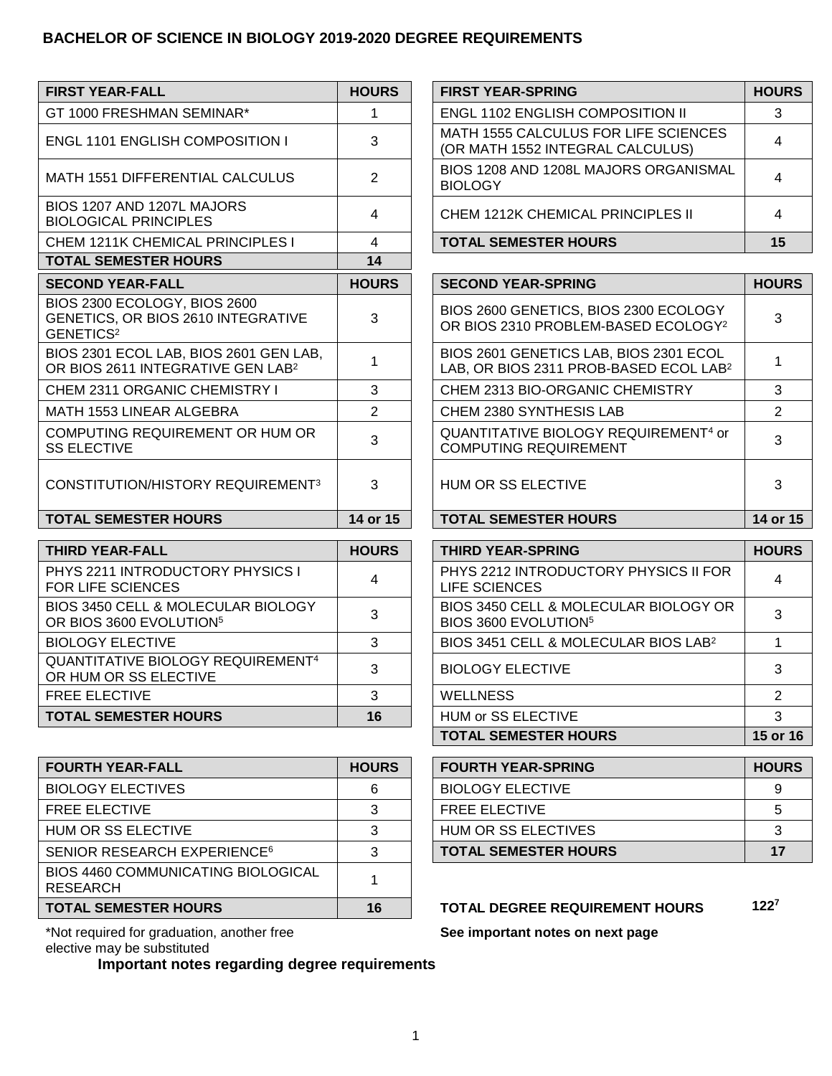## **BACHELOR OF SCIENCE IN BIOLOGY 2019-2020 DEGREE REQUIREMENTS**

| <b>FIRST YEAR-FALL</b>                                                                      | <b>HOURS</b> | <b>FIRST YEAR-SPRING</b>                                                                     | <b>HOURS</b> |
|---------------------------------------------------------------------------------------------|--------------|----------------------------------------------------------------------------------------------|--------------|
| GT 1000 FRESHMAN SEMINAR*                                                                   | 1            | <b>ENGL 1102 ENGLISH COMPOSITION II</b>                                                      | 3            |
| <b>ENGL 1101 ENGLISH COMPOSITION I</b>                                                      | 3            | MATH 1555 CALCULUS FOR LIFE SCIENCES<br>(OR MATH 1552 INTEGRAL CALCULUS)                     | 4            |
| MATH 1551 DIFFERENTIAL CALCULUS                                                             | 2            | BIOS 1208 AND 1208L MAJORS ORGANISMAL<br><b>BIOLOGY</b>                                      | 4            |
| BIOS 1207 AND 1207L MAJORS<br><b>BIOLOGICAL PRINCIPLES</b>                                  | 4            | CHEM 1212K CHEMICAL PRINCIPLES II                                                            | 4            |
| CHEM 1211K CHEMICAL PRINCIPLES I                                                            | 4            | <b>TOTAL SEMESTER HOURS</b>                                                                  | 15           |
| <b>TOTAL SEMESTER HOURS</b>                                                                 | 14           |                                                                                              |              |
| <b>SECOND YEAR-FALL</b>                                                                     | <b>HOURS</b> | <b>SECOND YEAR-SPRING</b>                                                                    | <b>HOURS</b> |
| BIOS 2300 ECOLOGY, BIOS 2600<br>GENETICS, OR BIOS 2610 INTEGRATIVE<br>GENETICS <sup>2</sup> | 3            | BIOS 2600 GENETICS, BIOS 2300 ECOLOGY<br>OR BIOS 2310 PROBLEM-BASED ECOLOGY <sup>2</sup>     | 3            |
| BIOS 2301 ECOL LAB, BIOS 2601 GEN LAB,<br>OR BIOS 2611 INTEGRATIVE GEN LAB <sup>2</sup>     | 1            | BIOS 2601 GENETICS LAB, BIOS 2301 ECOL<br>LAB, OR BIOS 2311 PROB-BASED ECOL LAB <sup>2</sup> | 1            |
| <b>CHEM 2311 ORGANIC CHEMISTRY I</b>                                                        | 3            | CHEM 2313 BIO-ORGANIC CHEMISTRY                                                              | 3            |
| MATH 1553 LINEAR ALGEBRA                                                                    | 2            | CHEM 2380 SYNTHESIS LAB                                                                      | 2            |
| COMPUTING REQUIREMENT OR HUM OR<br><b>SS ELECTIVE</b>                                       | 3            | QUANTITATIVE BIOLOGY REQUIREMENT <sup>4</sup> or<br><b>COMPUTING REQUIREMENT</b>             | 3            |
| CONSTITUTION/HISTORY REQUIREMENT <sup>3</sup>                                               | 3            | HUM OR SS ELECTIVE                                                                           | 3            |
| <b>TOTAL SEMESTER HOURS</b>                                                                 | 14 or 15     | <b>TOTAL SEMESTER HOURS</b>                                                                  | 14 or 15     |
|                                                                                             |              |                                                                                              |              |
| <b>THIRD YEAR-FALL</b>                                                                      | <b>HOURS</b> | <b>THIRD YEAR-SPRING</b>                                                                     | <b>HOURS</b> |

| I HIRD YEAR-FALL                                                          | <b>HOURS</b> | THIRD YEAR-SPRING                                                         | HOU |
|---------------------------------------------------------------------------|--------------|---------------------------------------------------------------------------|-----|
| PHYS 2211 INTRODUCTORY PHYSICS I<br><b>FOR LIFE SCIENCES</b>              | 4            | PHYS 2212 INTRODUCTORY PHYSICS II FOR<br>LIFE SCIENCES                    | 4   |
| BIOS 3450 CELL & MOLECULAR BIOLOGY<br>OR BIOS 3600 EVOLUTION <sup>5</sup> |              | BIOS 3450 CELL & MOLECULAR BIOLOGY OR<br>BIOS 3600 EVOLUTION <sup>5</sup> | 3   |
| <b>BIOLOGY ELECTIVE</b>                                                   |              | BIOS 3451 CELL & MOLECULAR BIOS LAB <sup>2</sup>                          |     |
| <b>QUANTITATIVE BIOLOGY REQUIREMENT4</b><br>OR HUM OR SS ELECTIVE         |              | <b>BIOLOGY ELECTIVE</b>                                                   | 3   |
| <b>FREE ELECTIVE</b>                                                      | 3            | <b>WELLNESS</b>                                                           | 2   |
| <b>TOTAL SEMESTER HOURS</b>                                               | 16           | HUM or SS ELECTIVE                                                        | 3   |
|                                                                           |              |                                                                           |     |

| <b>FOURTH YEAR-FALL</b>                        | <b>HOURS</b> | <b>FOURTH YEAR-SPRING</b>             | <b>HOU</b>       |
|------------------------------------------------|--------------|---------------------------------------|------------------|
| <b>BIOLOGY ELECTIVES</b>                       | 6            | <b>BIOLOGY ELECTIVE</b>               | 9                |
| <b>FREE ELECTIVE</b>                           |              | <b>FREE ELECTIVE</b>                  | 5                |
| HUM OR SS ELECTIVE                             | ົ            | HUM OR SS ELECTIVES                   | 3                |
| SENIOR RESEARCH EXPERIENCE <sup>6</sup>        |              | <b>TOTAL SEMESTER HOURS</b>           | 17               |
| BIOS 4460 COMMUNICATING BIOLOGICAL<br>RESEARCH |              |                                       |                  |
| <b>TOTAL SEMESTER HOURS</b>                    | 16           | <b>TOTAL DEGREE REQUIREMENT HOURS</b> | 122 <sup>7</sup> |

\*Not required for graduation, another free elective may be substituted

**Important notes regarding degree requirements**

| FIRST YEAR-FALL                                            | <b>HOURS</b> | <b>FIRST YEAR-SPRING</b>                                                 | <b>HOURS</b> |
|------------------------------------------------------------|--------------|--------------------------------------------------------------------------|--------------|
| GT 1000 FRESHMAN SEMINAR*                                  |              | <b>ENGL 1102 ENGLISH COMPOSITION II</b>                                  |              |
| ENGL 1101 ENGLISH COMPOSITION I                            | 3            | MATH 1555 CALCULUS FOR LIFE SCIENCES<br>(OR MATH 1552 INTEGRAL CALCULUS) |              |
| MATH 1551 DIFFERENTIAL CALCULUS                            |              | BIOS 1208 AND 1208L MAJORS ORGANISMAL<br><b>BIOLOGY</b>                  |              |
| BIOS 1207 AND 1207L MAJORS<br><b>BIOLOGICAL PRINCIPLES</b> | 4            | CHEM 1212K CHEMICAL PRINCIPLES II                                        |              |
| CHEM 1211K CHEMICAL PRINCIPLES I                           |              | <b>TOTAL SEMESTER HOURS</b>                                              |              |

| <b>URS</b>     | <b>SECOND YEAR-SPRING</b>                                                                    | <b>HOURS</b> |
|----------------|----------------------------------------------------------------------------------------------|--------------|
| 3              | BIOS 2600 GENETICS, BIOS 2300 ECOLOGY<br>OR BIOS 2310 PROBLEM-BASED ECOLOGY <sup>2</sup>     | 3            |
| 1              | BIOS 2601 GENETICS LAB, BIOS 2301 ECOL<br>LAB, OR BIOS 2311 PROB-BASED ECOL LAB <sup>2</sup> |              |
| 3              | CHEM 2313 BIO-ORGANIC CHEMISTRY                                                              | 3            |
| $\overline{2}$ | CHEM 2380 SYNTHESIS LAB                                                                      | 2            |
| 3              | QUANTITATIVE BIOLOGY REQUIREMENT <sup>4</sup> or<br><b>COMPUTING REQUIREMENT</b>             | 3            |
| 3              | HUM OR SS ELECTIVE                                                                           | 3            |
| or 15          | <b>TOTAL SEMESTER HOURS</b>                                                                  | 14 or 15     |

| THIRD YEAR-FALL                                                        | <b>HOURS</b> | <b>THIRD YEAR-SPRING</b>                                                  | <b>HOURS</b> |
|------------------------------------------------------------------------|--------------|---------------------------------------------------------------------------|--------------|
| PHYS 2211 INTRODUCTORY PHYSICS I<br>FOR LIFE SCIENCES                  |              | PHYS 2212 INTRODUCTORY PHYSICS II FOR<br>LIFE SCIENCES                    |              |
| BIOS 3450 CELL & MOLECULAR BIOLOGY<br>OR BIOS 3600 EVOLUTION5          |              | BIOS 3450 CELL & MOLECULAR BIOLOGY OR<br>BIOS 3600 EVOLUTION <sup>5</sup> |              |
| BIOLOGY ELECTIVE                                                       | 3            | BIOS 3451 CELL & MOLECULAR BIOS LAB <sup>2</sup>                          |              |
| QUANTITATIVE BIOLOGY REQUIREMENT <sup>4</sup><br>OR HUM OR SS ELECTIVE |              | <b>BIOLOGY ELECTIVE</b>                                                   |              |
| FREE ELECTIVE                                                          |              | <b>WELLNESS</b>                                                           |              |
| TOTAL SEMESTER HOURS                                                   | 16           | HUM or SS ELECTIVE                                                        |              |
|                                                                        |              | <b>TOTAL SEMESTER HOURS</b>                                               | 15 or 16     |

| <b>FOURTH YEAR-FALL</b>                 | <b>HOURS</b> | <b>FOURTH YEAR-SPRING</b>   | <b>HOURS</b> |
|-----------------------------------------|--------------|-----------------------------|--------------|
| BIOLOGY ELECTIVES                       | 6            | <b>BIOLOGY ELECTIVE</b>     |              |
| FREE ELECTIVE                           |              | <b>FREE ELECTIVE</b>        |              |
| HUM OR SS ELECTIVE                      |              | HUM OR SS ELECTIVES         |              |
| SENIOR RESEARCH EXPERIENCE <sup>6</sup> | ີ            | <b>TOTAL SEMESTER HOURS</b> |              |

**See important notes on next page**